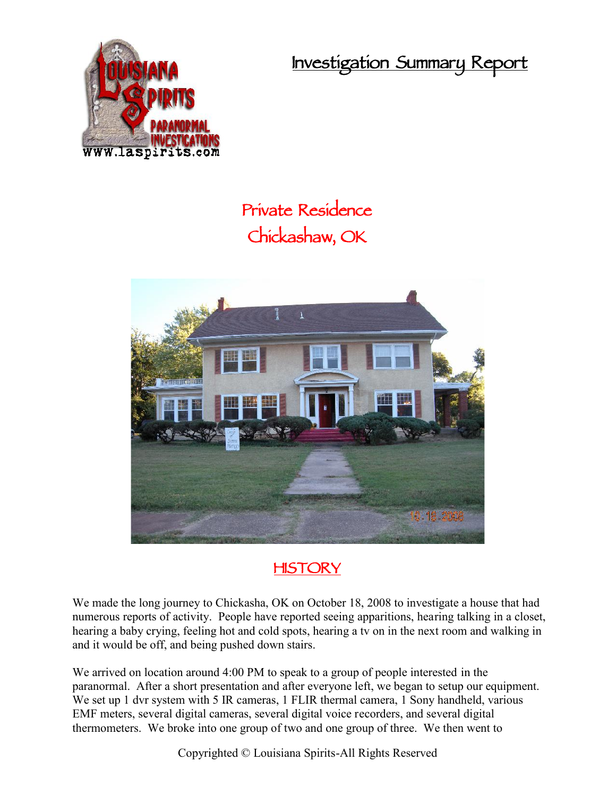**Investigation Summary Report**



## **Private Residence Chickashaw, OK**





We made the long journey to Chickasha, OK on October 18, 2008 to investigate a house that had numerous reports of activity. People have reported seeing apparitions, hearing talking in a closet, hearing a baby crying, feeling hot and cold spots, hearing a tv on in the next room and walking in and it would be off, and being pushed down stairs.

We arrived on location around 4:00 PM to speak to a group of people interested in the paranormal. After a short presentation and after everyone left, we began to setup our equipment. We set up 1 dvr system with 5 IR cameras, 1 FLIR thermal camera, 1 Sony handheld, various EMF meters, several digital cameras, several digital voice recorders, and several digital thermometers. We broke into one group of two and one group of three. We then went to

Copyrighted © Louisiana Spirits-All Rights Reserved